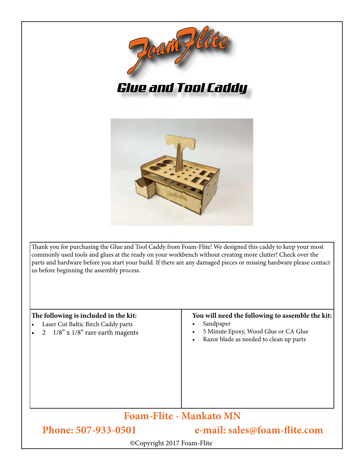

*Glue and Tool Caddy*



Thank you for purchasing the Glue and Tool Caddy from Foam-Flite! We designed this caddy to keep your most commonly used tools and glues at the ready on your workbench without creating more clutter! Check over the parts and hardware before you start your build. If there are any damaged pieces or missing hardware please contact us before beginning the assembly process.

| The following is included in the kit:<br>Laser Cut Baltic Birch Caddy parts<br>$\bullet$<br>2 $1/8$ " x $1/8$ " rare earth magents | You will need the following to assemble the kit:<br>Sandpaper<br>5 Minute Epoxy, Wood Glue or CA Glue<br>$\bullet$<br>Razor blade as needed to clean up parts<br>$\bullet$ |
|------------------------------------------------------------------------------------------------------------------------------------|----------------------------------------------------------------------------------------------------------------------------------------------------------------------------|
| <b>Foam-Flite - Mankato MN</b>                                                                                                     |                                                                                                                                                                            |
| Phone: 507-933-0501                                                                                                                | e-mail: sales@foam-flite.com                                                                                                                                               |
| ©Copyright 2017 Foam-Flite                                                                                                         |                                                                                                                                                                            |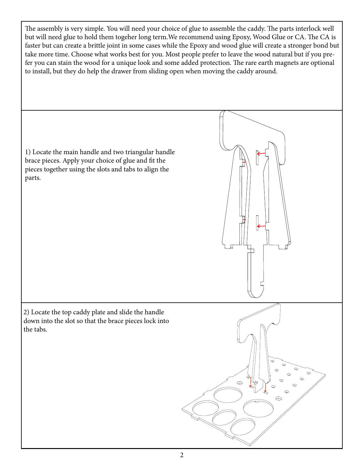The assembly is very simple. You will need your choice of glue to assemble the caddy. The parts interlock well but will need glue to hold them togeher long term.We recommend using Epoxy, Wood Glue or CA. The CA is faster but can create a brittle joint in some cases while the Epoxy and wood glue will create a stronger bond but take more time. Choose what works best for you. Most people prefer to leave the wood natural but if you prefer you can stain the wood for a unique look and some added protection. The rare earth magnets are optional to install, but they do help the drawer from sliding open when moving the caddy around.

1) Locate the main handle and two triangular handle brace pieces. Apply your choice of glue and fit the pieces together using the slots and tabs to align the parts. 2) Locate the top caddy plate and slide the handle down into the slot so that the brace pieces lock into the tabs.  $\odot$  $\;\;\subset\;\;$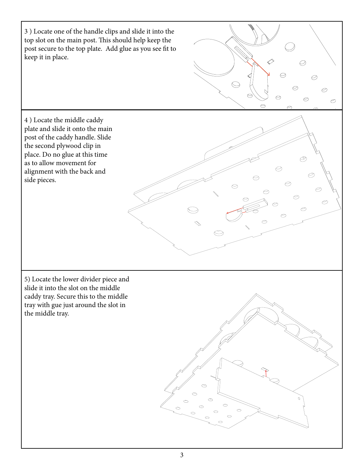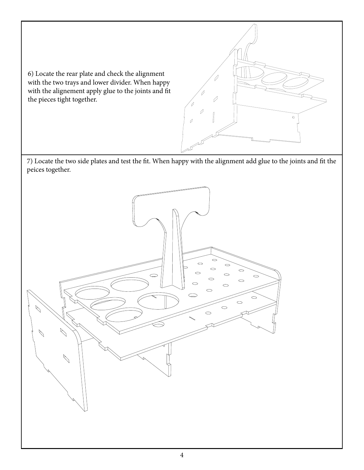6) Locate the rear plate and check the alignment with the two trays and lower divider. When happy with the alignement apply glue to the joints and fit the pieces tight together.

7) Locate the two side plates and test the fit. When happy with the alignment add glue to the joints and fit the peices together.

θ

 $\circ$ 

 $\varphi$ 

 $\overline{\mathcal{O}}$ 

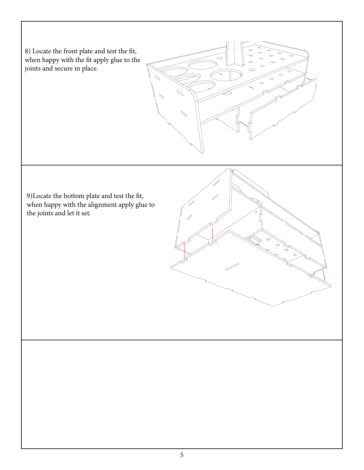8) Locate the front plate and test the fit, when happy with the fit apply glue to the joints and secure in place.



9)Locate the bottom plate and test the fit, when happy with the alignment apply glue to the joints and let it set.

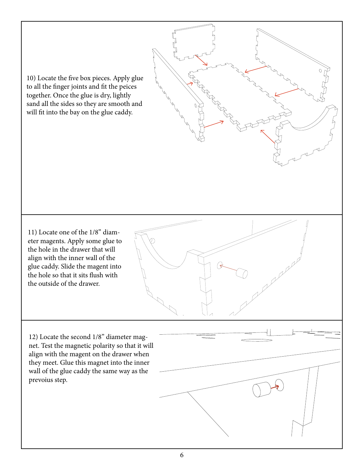10) Locate the five box pieces. Apply glue to all the finger joints and fit the peices together. Once the glue is dry, lightly sand all the sides so they are smooth and will fit into the bay on the glue caddy.

11) Locate one of the 1/8" diameter magents. Apply some glue to the hole in the drawer that will align with the inner wall of the glue caddy. Slide the magent into the hole so that it sits flush with the outside of the drawer.

12) Locate the second 1/8" diameter magnet. Test the magnetic polarity so that it will align with the magent on the drawer when they meet. Glue this magnet into the inner wall of the glue caddy the same way as the prevoius step.

ARANTAS A